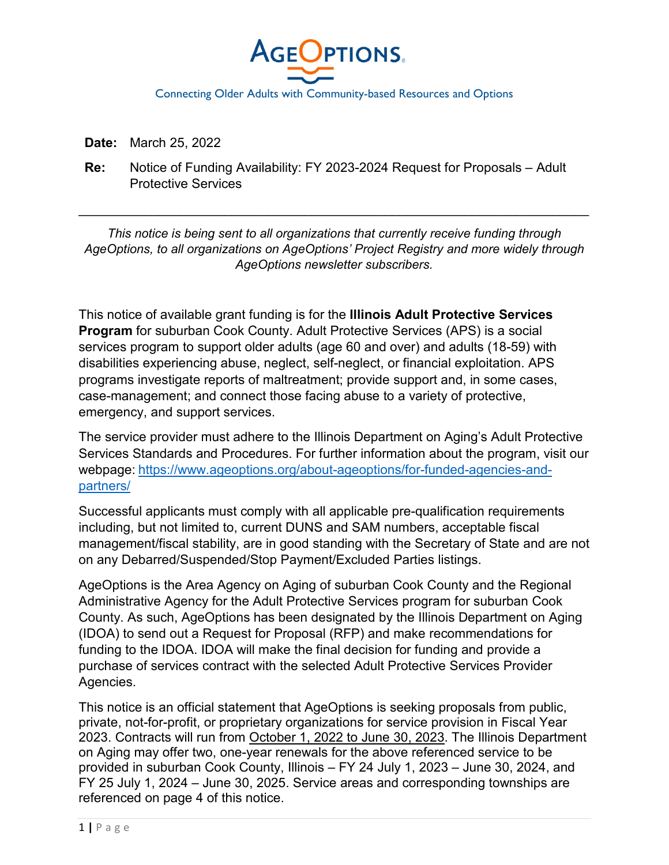

**Date:** March 25, 2022

**Re:** Notice of Funding Availability: FY 2023-2024 Request for Proposals – Adult Protective Services

*This notice is being sent to all organizations that currently receive funding through AgeOptions, to all organizations on AgeOptions' Project Registry and more widely through AgeOptions newsletter subscribers.*

\_\_\_\_\_\_\_\_\_\_\_\_\_\_\_\_\_\_\_\_\_\_\_\_\_\_\_\_\_\_\_\_\_\_\_\_\_\_\_\_\_\_\_\_\_\_\_\_\_\_\_\_\_\_\_\_\_\_\_\_\_\_\_\_\_\_\_\_\_\_

This notice of available grant funding is for the **Illinois Adult Protective Services Program** for suburban Cook County. Adult Protective Services (APS) is a social services program to support older adults (age 60 and over) and adults (18-59) with disabilities experiencing abuse, neglect, self-neglect, or financial exploitation. APS programs investigate reports of maltreatment; provide support and, in some cases, case-management; and connect those facing abuse to a variety of protective, emergency, and support services.

The service provider must adhere to the Illinois Department on Aging's Adult Protective Services Standards and Procedures. For further information about the program, visit our webpage: [https://www.ageoptions.org/about-ageoptions/for-funded-agencies-and](https://www.ageoptions.org/about-ageoptions/for-funded-agencies-and-partners/)[partners/](https://www.ageoptions.org/about-ageoptions/for-funded-agencies-and-partners/) 

Successful applicants must comply with all applicable pre-qualification requirements including, but not limited to, current DUNS and SAM numbers, acceptable fiscal management/fiscal stability, are in good standing with the Secretary of State and are not on any Debarred/Suspended/Stop Payment/Excluded Parties listings.

AgeOptions is the Area Agency on Aging of suburban Cook County and the Regional Administrative Agency for the Adult Protective Services program for suburban Cook County. As such, AgeOptions has been designated by the Illinois Department on Aging (IDOA) to send out a Request for Proposal (RFP) and make recommendations for funding to the IDOA. IDOA will make the final decision for funding and provide a purchase of services contract with the selected Adult Protective Services Provider Agencies.

This notice is an official statement that AgeOptions is seeking proposals from public, private, not-for-profit, or proprietary organizations for service provision in Fiscal Year 2023. Contracts will run from October 1, 2022 to June 30, 2023. The Illinois Department on Aging may offer two, one-year renewals for the above referenced service to be provided in suburban Cook County, Illinois – FY 24 July 1, 2023 – June 30, 2024, and FY 25 July 1, 2024 – June 30, 2025. Service areas and corresponding townships are referenced on page 4 of this notice.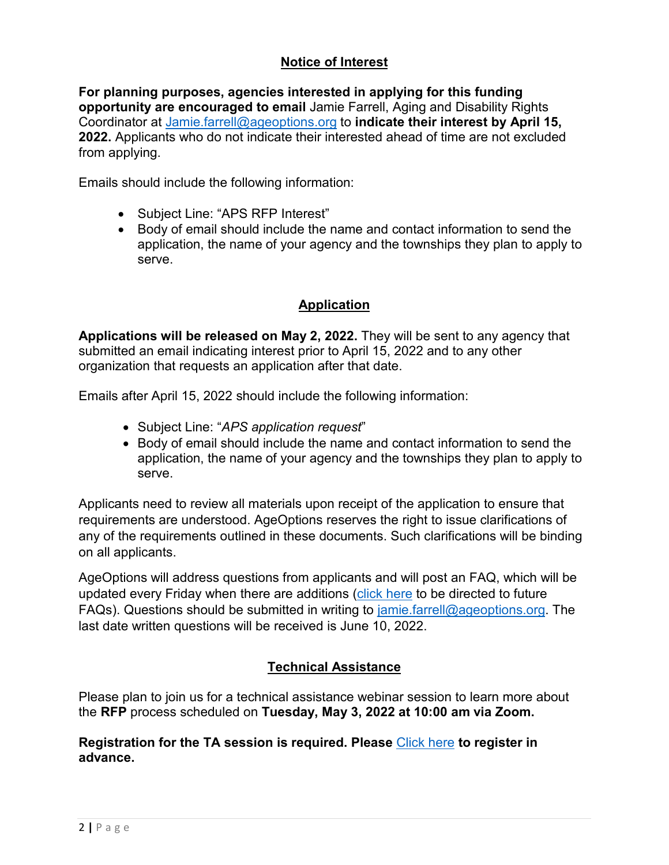# **Notice of Interest**

**For planning purposes, agencies interested in applying for this funding opportunity are encouraged to email** Jamie Farrell, Aging and Disability Rights Coordinator at [Jamie.farrell@ageoptions.org](mailto:Jamie.farrell@ageoptions.org) to **indicate their interest by April 15, 2022.** Applicants who do not indicate their interested ahead of time are not excluded from applying.

Emails should include the following information:

- Subject Line: "APS RFP Interest"
- Body of email should include the name and contact information to send the application, the name of your agency and the townships they plan to apply to serve.

# **Application**

**Applications will be released on May 2, 2022.** They will be sent to any agency that submitted an email indicating interest prior to April 15, 2022 and to any other organization that requests an application after that date.

Emails after April 15, 2022 should include the following information:

- Subject Line: "*APS application request*"
- Body of email should include the name and contact information to send the application, the name of your agency and the townships they plan to apply to serve.

Applicants need to review all materials upon receipt of the application to ensure that requirements are understood. AgeOptions reserves the right to issue clarifications of any of the requirements outlined in these documents. Such clarifications will be binding on all applicants.

AgeOptions will address questions from applicants and will post an FAQ, which will be updated every Friday when there are additions [\(click here](https://www.ageoptions.org/about-ageoptions/for-funded-agencies-and-partners/) to be directed to future FAQs). Questions should be submitted in writing to  $\frac{1}{2}$  and  $\frac{1}{2}$  ageoptions.org. The last date written questions will be received is June 10, 2022.

# **Technical Assistance**

Please plan to join us for a technical assistance webinar session to learn more about the **RFP** process scheduled on **Tuesday, May 3, 2022 at 10:00 am via Zoom.** 

## **Registration for the TA session is required. Please** [Click here](https://us06web.zoom.us/meeting/register/tZIlfu6pqz0sGdMtXeKr8OLDwBih8vCPGwyK) **to register in advance.**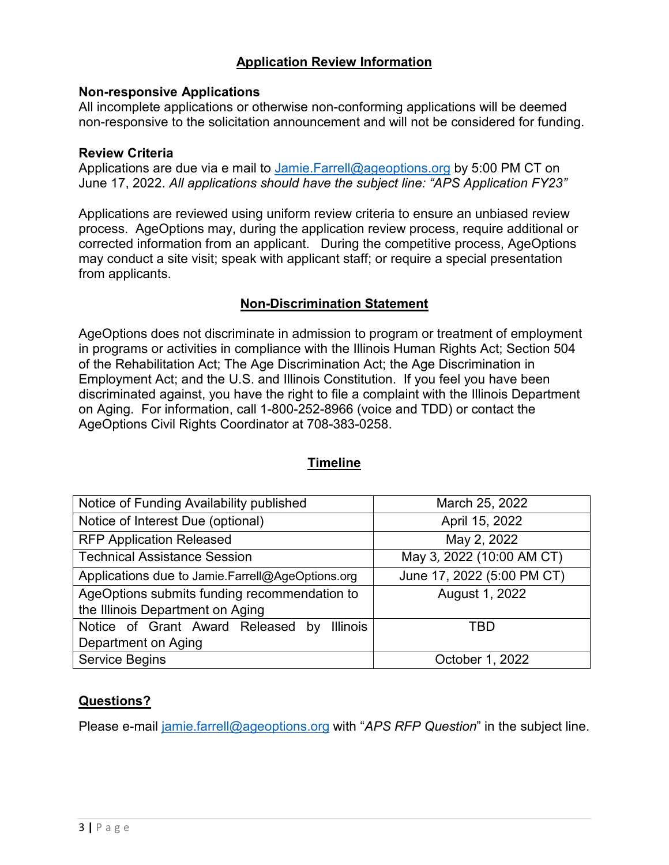## **Application Review Information**

## **Non-responsive Applications**

All incomplete applications or otherwise non-conforming applications will be deemed non-responsive to the solicitation announcement and will not be considered for funding.

#### **Review Criteria**

Applications are due via e mail to Jamie. Farrell@ageoptions.org by 5:00 PM CT on June 17, 2022. *All applications should have the subject line: "APS Application FY23"*

Applications are reviewed using uniform review criteria to ensure an unbiased review process. AgeOptions may, during the application review process, require additional or corrected information from an applicant. During the competitive process, AgeOptions may conduct a site visit; speak with applicant staff; or require a special presentation from applicants.

## **Non-Discrimination Statement**

AgeOptions does not discriminate in admission to program or treatment of employment in programs or activities in compliance with the Illinois Human Rights Act; Section 504 of the Rehabilitation Act; The Age Discrimination Act; the Age Discrimination in Employment Act; and the U.S. and Illinois Constitution. If you feel you have been discriminated against, you have the right to file a complaint with the Illinois Department on Aging. For information, call 1-800-252-8966 (voice and TDD) or contact the AgeOptions Civil Rights Coordinator at 708-383-0258.

| Notice of Funding Availability published             | March 25, 2022             |
|------------------------------------------------------|----------------------------|
| Notice of Interest Due (optional)                    | April 15, 2022             |
| <b>RFP Application Released</b>                      | May 2, 2022                |
| <b>Technical Assistance Session</b>                  | May 3, 2022 (10:00 AM CT)  |
| Applications due to Jamie.Farrell@AgeOptions.org     | June 17, 2022 (5:00 PM CT) |
| AgeOptions submits funding recommendation to         | August 1, 2022             |
| the Illinois Department on Aging                     |                            |
| Notice of Grant Award Released by<br><b>Illinois</b> | TRD                        |
| Department on Aging                                  |                            |
| <b>Service Begins</b>                                | October 1, 2022            |

## **Timeline**

## **Questions?**

Please e-mail [jamie.farrell@ageoptions.org](mailto:jamie.farrell@ageoptions.org) with "*APS RFP Question*" in the subject line.